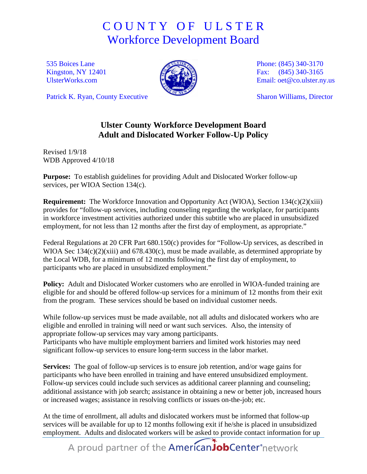## C O U N T Y O F U L S T E R Workforce Development Board

535 Boices Lane Kingston, NY 12401 [UlsterWorks.com](http://www.ulsterworks.com/)



Phone: (845) 340-3170 Fax: (845) 340-3165 Email: [oet@co.ulster.ny.us](mailto:oet@co.ulster.ny.us)

Sharon Williams, Director

## Patrick K. Ryan, County Executive

## **Ulster County Workforce Development Board Adult and Dislocated Worker Follow-Up Policy**

Revised 1/9/18 WDB Approved 4/10/18

**Purpose:** To establish guidelines for providing Adult and Dislocated Worker follow-up services, per WIOA Section 134(c).

**Requirement:** The Workforce Innovation and Opportunity Act (WIOA), Section 134(c)(2)(xiii) provides for "follow-up services, including counseling regarding the workplace, for participants in workforce investment activities authorized under this subtitle who are placed in unsubsidized employment, for not less than 12 months after the first day of employment, as appropriate."

Federal Regulations at 20 CFR Part 680.150(c) provides for "Follow-Up services, as described in WIOA Sec 134(c)(2)(xiii) and 678.430(c), must be made available, as determined appropriate by the Local WDB, for a minimum of 12 months following the first day of employment, to participants who are placed in unsubsidized employment."

Policy: Adult and Dislocated Worker customers who are enrolled in WIOA-funded training are eligible for and should be offered follow-up services for a minimum of 12 months from their exit from the program. These services should be based on individual customer needs.

While follow-up services must be made available, not all adults and dislocated workers who are eligible and enrolled in training will need or want such services. Also, the intensity of appropriate follow-up services may vary among participants.

Participants who have multiple employment barriers and limited work histories may need significant follow-up services to ensure long-term success in the labor market.

**Services:** The goal of follow-up services is to ensure job retention, and/or wage gains for participants who have been enrolled in training and have entered unsubsidized employment. Follow-up services could include such services as additional career planning and counseling; additional assistance with job search; assistance in obtaining a new or better job, increased hours or increased wages; assistance in resolving conflicts or issues on-the-job; etc.

At the time of enrollment, all adults and dislocated workers must be informed that follow-up services will be available for up to 12 months following exit if he/she is placed in unsubsidized employment. Adults and dislocated workers will be asked to provide contact information for up

A proud partner of the AmericanJobCenter<sup>\*</sup>network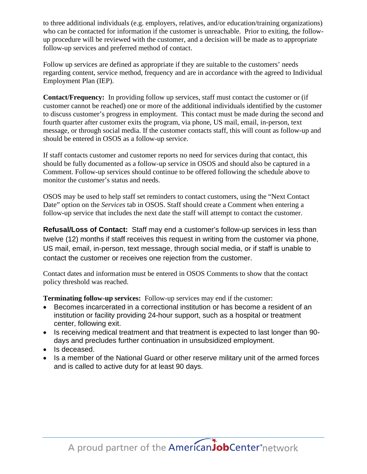to three additional individuals (e.g. employers, relatives, and/or education/training organizations) who can be contacted for information if the customer is unreachable. Prior to exiting, the followup procedure will be reviewed with the customer, and a decision will be made as to appropriate follow-up services and preferred method of contact.

Follow up services are defined as appropriate if they are suitable to the customers' needs regarding content, service method, frequency and are in accordance with the agreed to Individual Employment Plan (IEP).

**Contact/Frequency:** In providing follow up services, staff must contact the customer or (if customer cannot be reached) one or more of the additional individuals identified by the customer to discuss customer's progress in employment. This contact must be made during the second and fourth quarter after customer exits the program, via phone, US mail, email, in-person, text message, or through social media. If the customer contacts staff, this will count as follow-up and should be entered in OSOS as a follow-up service.

If staff contacts customer and customer reports no need for services during that contact, this should be fully documented as a follow-up service in OSOS and should also be captured in a Comment. Follow-up services should continue to be offered following the schedule above to monitor the customer's status and needs.

OSOS may be used to help staff set reminders to contact customers, using the "Next Contact Date" option on the *Services* tab in OSOS. Staff should create a Comment when entering a follow-up service that includes the next date the staff will attempt to contact the customer.

**Refusal/Loss of Contact:** Staff may end a customer's follow-up services in less than twelve (12) months if staff receives this request in writing from the customer via phone, US mail, email, in-person, text message, through social media, or if staff is unable to contact the customer or receives one rejection from the customer.

Contact dates and information must be entered in OSOS Comments to show that the contact policy threshold was reached.

**Terminating follow-up services:** Follow-up services may end if the customer:

- Becomes incarcerated in a correctional institution or has become a resident of an institution or facility providing 24-hour support, such as a hospital or treatment center, following exit.
- Is receiving medical treatment and that treatment is expected to last longer than 90 days and precludes further continuation in unsubsidized employment.
- Is deceased.
- Is a member of the National Guard or other reserve military unit of the armed forces and is called to active duty for at least 90 days.